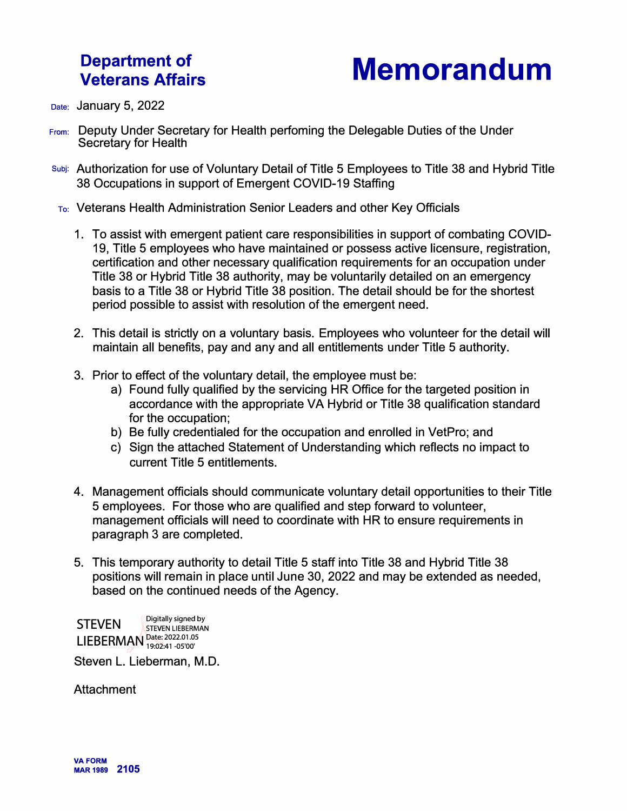## **Department of Veterans Affairs**



Date: **January 5, 2022** 

- From: Deputy Under Secretary for Health perfoming the Delegable Duties of the Under Secretary for Health
- Subj: Authorization for use of Voluntary Detail of Title 5 Employees to Title 38 and Hybrid Title 38 Occupations in support of Emergent COVID-19 Staffing
- To: Veterans Health Administration Senior Leaders and other Key Officials
	- 1. To assist with emergent patient care responsibilities in support of combating COVID-19, Title 5 employees who have maintained or possess active licensure, registration, certification and other necessary qualification requirements for an occupation under Title 38 or Hybrid Title 38 authority, may be voluntarily detailed on an emergency basis to a Title 38 or Hybrid Title 38 position. The detail should be for the shortest period possible to assist with resolution of the emergent need.
	- 2. This detail is strictly on a voluntary basis. Employees who volunteer for the detail will maintain all benefits, pay and any and all entitlements under Title 5 authority.
	- 3. Prior to effect of the voluntary detail, the employee must be:
		- a) Found fully qualified by the servicing HR Office for the targeted position in accordance with the appropriate VA Hybrid or Title 38 qualification standard for the occupation;
		- b) Be fully credentialed for the occupation and enrolled in VetPro; and
		- c) Sign the attached Statement of Understanding which reflects no impact to current Title 5 entitlements.
	- 4. Management officials should communicate voluntary detail opportunities to their Title 5 employees. For those who are qualified and step forward to volunteer, management officials will need to coordinate with HR to ensure requirements in paragraph 3 are completed.
	- 5. This temporary authority to detail Title 5 staff into Title 38 and Hybrid Title 38 positions will remain in place until June 30, 2022 and may be extended as needed, based on the continued needs of the Agency.

STEVEN Digitally signed by LIEBERMAN <sup>Date: 2022.01.05</sup> **D**<br>Si<br>**--.** 

Steven L. Lieberman, M.D.

Attachment